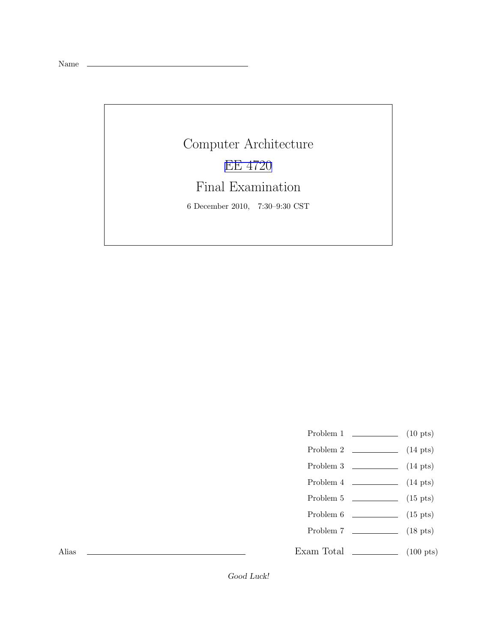Name

Computer Architecture [EE 4720](http://www.ece.lsu.edu/ee4720/) Final Examination 6 December 2010, 7:30–9:30 CST

- Problem 1  $\qquad \qquad$  (10 pts)
- Problem 2  $\qquad \qquad$  (14 pts)
- Problem 3 (14 pts)
- Problem  $4 \t\t(14 \text{ pts})$
- Problem 5 (15 pts)
- Problem 6 (15 pts)
- Problem 7 (18 pts)

Exam Total (100 pts)

Alias

Good Luck!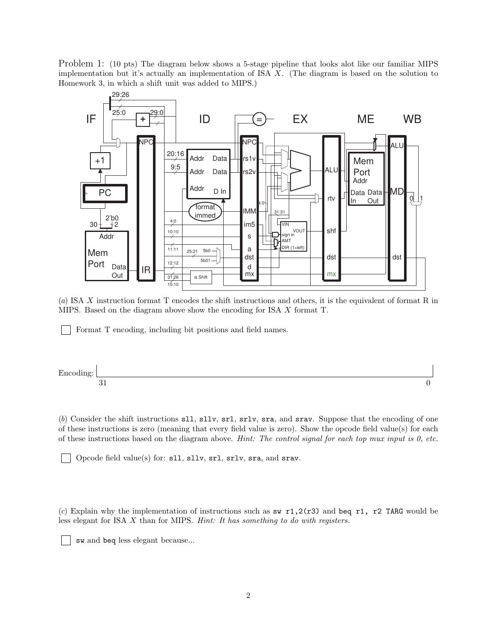Problem 1: (10 pts) The diagram below shows a 5-stage pipeline that looks alot like our familiar MIPS implementation but it's actually an implementation of ISA X. (The diagram is based on the solution to Homework 3, in which a shift unit was added to MIPS.)



(*a*) ISA X instruction format T encodes the shift instructions and others, it is the equivalent of format R in MIPS. Based on the diagram above show the encoding for ISA X format T.

Format T encoding, including bit positions and field names.



(*b*) Consider the shift instructions sll, sllv, srl, srlv, sra, and srav. Suppose that the encoding of one of these instructions is zero (meaning that every field value is zero). Show the opcode field value(s) for each of these instructions based on the diagram above. *Hint: The control signal for each top mux input is 0, etc.*

Opcode field value(s) for: sll, sllv, srl, srlv, sra, and srav.

(*c*) Explain why the implementation of instructions such as sw  $r1,2(r3)$  and beq r1, r2 TARG would be less elegant for ISA X than for MIPS. *Hint: It has something to do with registers.*

sw and beq less elegant because...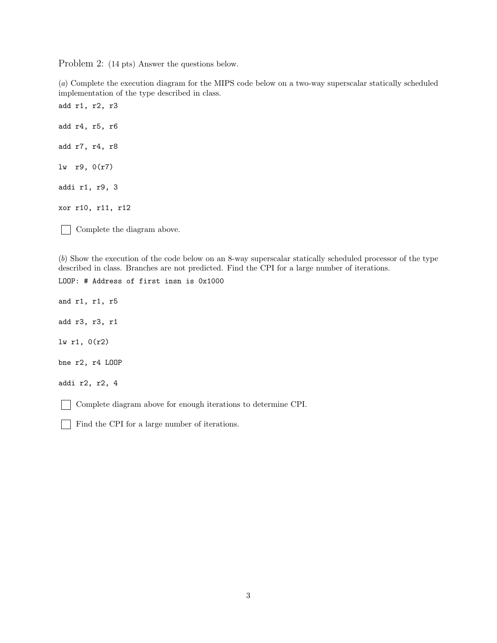Problem 2: (14 pts) Answer the questions below.

(*a*) Complete the execution diagram for the MIPS code below on a two-way superscalar statically scheduled implementation of the type described in class.

add r1, r2, r3 add r4, r5, r6 add r7, r4, r8 lw r9, 0(r7) addi r1, r9, 3 xor r10, r11, r12

Complete the diagram above.  $\mathbf{I}$ 

(*b*) Show the execution of the code below on an 8-way superscalar statically scheduled processor of the type described in class. Branches are not predicted. Find the CPI for a large number of iterations.

LOOP: # Address of first insn is 0x1000 and r1, r1, r5 add r3, r3, r1 lw r1, 0(r2) bne r2, r4 LOOP addi r2, r2, 4 Complete diagram above for enough iterations to determine CPI.

Find the CPI for a large number of iterations.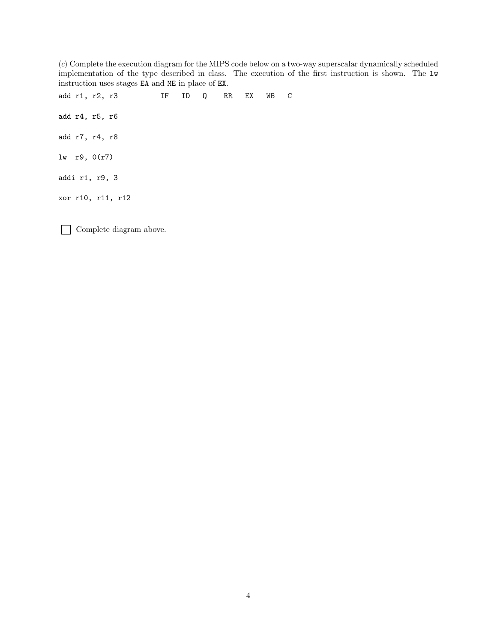(*c*) Complete the execution diagram for the MIPS code below on a two-way superscalar dynamically scheduled implementation of the type described in class. The execution of the first instruction is shown. The lw instruction uses stages EA and ME in place of EX.

add r1, r2, r3 IF ID Q RR EX WB C add r4, r5, r6 add r7, r4, r8 lw r9, 0(r7) addi r1, r9, 3 xor r10, r11, r12

Complete diagram above.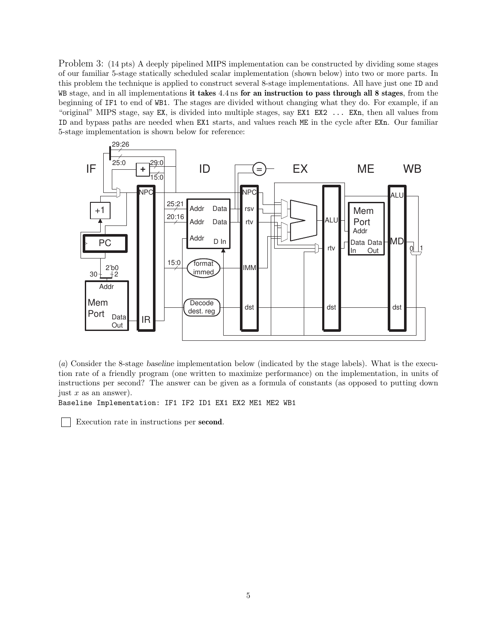Problem 3: (14 pts) A deeply pipelined MIPS implementation can be constructed by dividing some stages of our familiar 5-stage statically scheduled scalar implementation (shown below) into two or more parts. In this problem the technique is applied to construct several 8-stage implementations. All have just one ID and WB stage, and in all implementations it takes 4.4 ns for an instruction to pass through all 8 stages, from the beginning of IF1 to end of WB1. The stages are divided without changing what they do. For example, if an "original" MIPS stage, say EX, is divided into multiple stages, say EX1 EX2 ... EXn, then all values from ID and bypass paths are needed when EX1 starts, and values reach ME in the cycle after EXn. Our familiar 5-stage implementation is shown below for reference:



(*a*) Consider the 8-stage baseline implementation below (indicated by the stage labels). What is the execution rate of a friendly program (one written to maximize performance) on the implementation, in units of instructions per second? The answer can be given as a formula of constants (as opposed to putting down just  $x$  as an answer).

Baseline Implementation: IF1 IF2 ID1 EX1 EX2 ME1 ME2 WB1

Execution rate in instructions per second.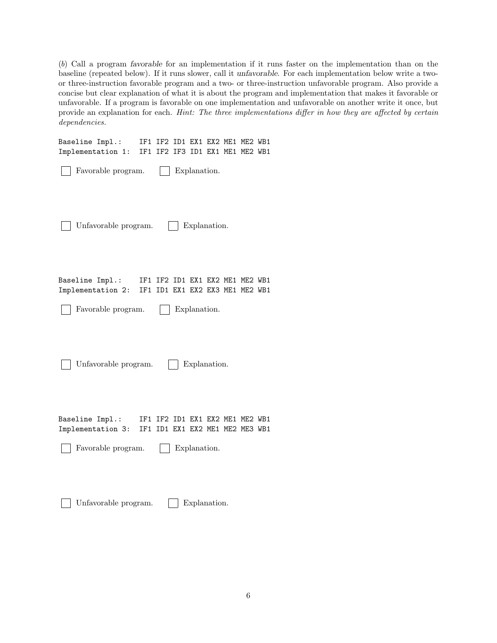(*b*) Call a program favorable for an implementation if it runs faster on the implementation than on the baseline (repeated below). If it runs slower, call it unfavorable. For each implementation below write a twoor three-instruction favorable program and a two- or three-instruction unfavorable program. Also provide a concise but clear explanation of what it is about the program and implementation that makes it favorable or unfavorable. If a program is favorable on one implementation and unfavorable on another write it once, but provide an explanation for each. *Hint: The three implementations differ in how they are affected by certain dependencies.*

| Baseline Impl.:<br>Implementation 1: | IF1 IF2 ID1 EX1 EX2 ME1 ME2 WB1<br>IF1 IF2 IF3 ID1 EX1 ME1 ME2 WB1 |              |              |  |  |
|--------------------------------------|--------------------------------------------------------------------|--------------|--------------|--|--|
| Favorable program.                   |                                                                    | Explanation. |              |  |  |
| Unfavorable program.                 |                                                                    |              | Explanation. |  |  |
| Baseline Impl.:<br>Implementation 2: | IF1 IF2 ID1 EX1 EX2 ME1 ME2 WB1<br>IF1 ID1 EX1 EX2 EX3 ME1 ME2 WB1 |              |              |  |  |
| Favorable program.                   |                                                                    | Explanation. |              |  |  |
| Unfavorable program.                 |                                                                    |              | Explanation. |  |  |
| Baseline Impl.:<br>Implementation 3: | IF1 IF2 ID1 EX1 EX2 ME1 ME2 WB1<br>IF1 ID1 EX1 EX2 ME1 ME2 ME3 WB1 |              |              |  |  |
| Favorable program.                   |                                                                    | Explanation. |              |  |  |
|                                      |                                                                    |              |              |  |  |

Unfavorable program.  $\Box$  Explanation.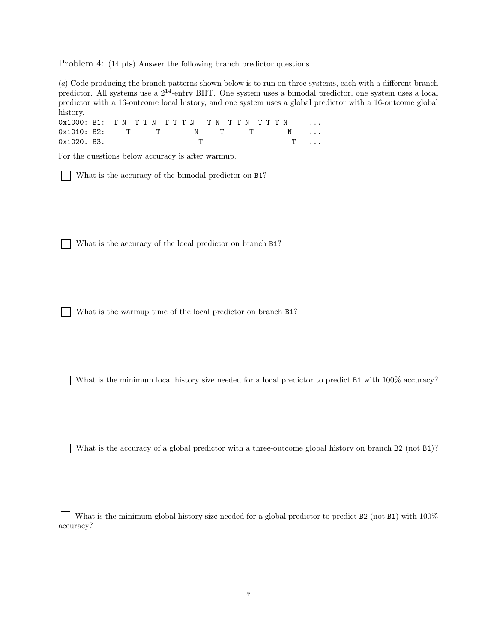Problem 4: (14 pts) Answer the following branch predictor questions.

(*a*) Code producing the branch patterns shown below is to run on three systems, each with a different branch predictor. All systems use a 214-entry BHT. One system uses a bimodal predictor, one system uses a local predictor with a 16-outcome local history, and one system uses a global predictor with a 16-outcome global history.

| 0x1000: B1: TN TTN TTTN TN TTN TTTN |  |  |  |  |  |  |  |  |            |  |  |
|-------------------------------------|--|--|--|--|--|--|--|--|------------|--|--|
| $0x1010: B2:$ T T N T T N $\ldots$  |  |  |  |  |  |  |  |  |            |  |  |
| 0x1020: B3:                         |  |  |  |  |  |  |  |  | $T \ldots$ |  |  |

For the questions below accuracy is after warmup.

What is the accuracy of the bimodal predictor on B1?

What is the accuracy of the local predictor on branch B1?

What is the warmup time of the local predictor on branch B1?

What is the minimum local history size needed for a local predictor to predict B1 with  $100\%$  accuracy?

What is the accuracy of a global predictor with a three-outcome global history on branch  $B2$  (not  $B1$ )?

What is the minimum global history size needed for a global predictor to predict B2 (not B1) with 100% accuracy?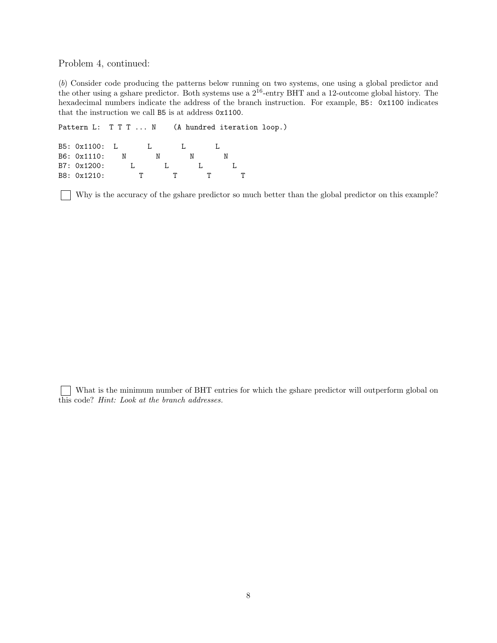Problem 4, continued:

(*b*) Consider code producing the patterns below running on two systems, one using a global predictor and the other using a gshare predictor. Both systems use a 216-entry BHT and a 12-outcome global history. The hexadecimal numbers indicate the address of the branch instruction. For example, B5: 0x1100 indicates that the instruction we call B5 is at address 0x1100.

```
Pattern L: T T T ... N (A hundred iteration loop.)
```

```
B5: 0x1100: L L L L L
B6: 0x1110: N N N N
B7: 0x1200: L L L L L
B8: 0x1210: T T T T T
```
Why is the accuracy of the gshare predictor so much better than the global predictor on this example?

What is the minimum number of BHT entries for which the gshare predictor will outperform global on this code? *Hint: Look at the branch addresses.*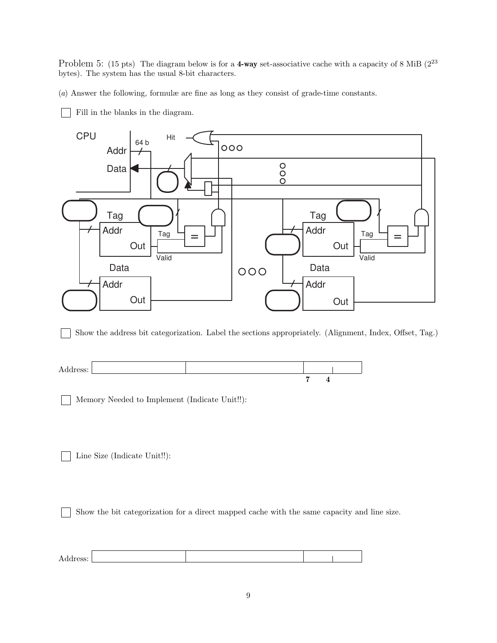Problem 5: (15 pts) The diagram below is for a 4-way set-associative cache with a capacity of 8 MiB  $(2^{23}$ bytes). The system has the usual 8-bit characters.

(*a*) Answer the following, formulæ are fine as long as they consist of grade-time constants.

Fill in the blanks in the diagram.



Show the address bit categorization. Label the sections appropriately. (Alignment, Index, Offset, Tag.)



Memory Needed to Implement (Indicate Unit!!):

Line Size (Indicate Unit!!):

 $\mathbf{I}$ 

Show the bit categorization for a direct mapped cache with the same capacity and line size.  $\mathbf{1}$ 

| л<br>-<br>nuu<br>ັບມີນ• |  |  |
|-------------------------|--|--|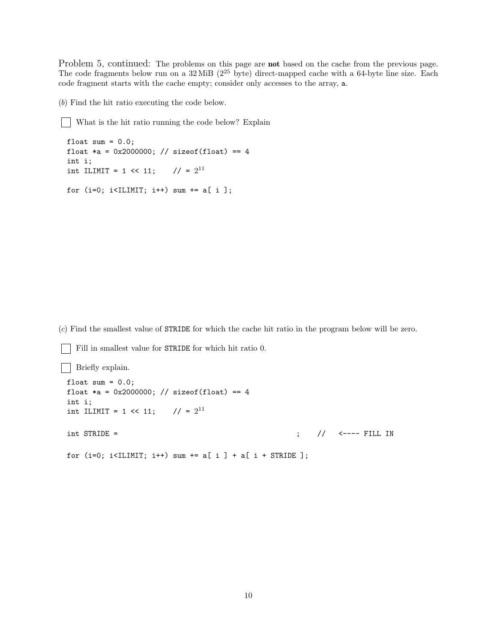Problem 5, continued: The problems on this page are **not** based on the cache from the previous page. The code fragments below run on a 32 MiB (2<sup>25</sup> byte) direct-mapped cache with a 64-byte line size. Each code fragment starts with the cache empty; consider only accesses to the array, a.

(*b*) Find the hit ratio executing the code below.

What is the hit ratio running the code below? Explain

```
float sum = 0.0;
float *a = 0x2000000; // sizeof(float) == 4
int i;
int ILIMIT = 1 << 11; // = 2^{11}for (i=0; i<IILMIT; i++) sum += a[i];
```
(*c*) Find the smallest value of STRIDE for which the cache hit ratio in the program below will be zero.

```
Fill in smallest value for STRIDE for which hit ratio 0.
Briefly explain.
 float sum = 0.0;
 float *a = 0x2000000; // sizeof(float) == 4
 int i;
 int ILIMIT = 1 << 11; // = 2^{11}int STRIDE = ; // <---- FILL IN
 for (i=0; i<IILMIT; i++) sum += a[i] + a[i + STRIDE];
```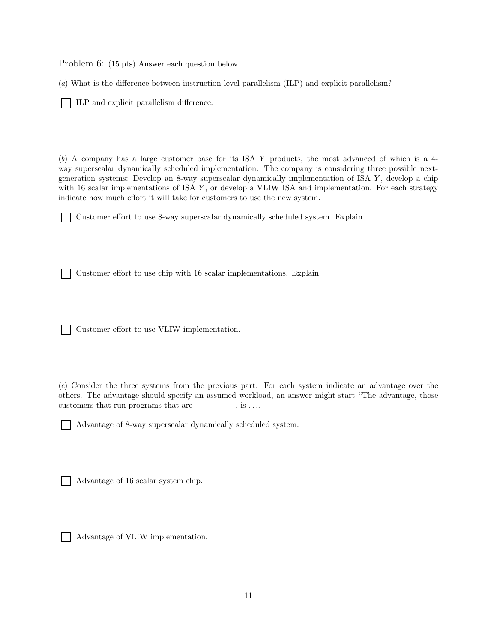Problem 6: (15 pts) Answer each question below.

(*a*) What is the difference between instruction-level parallelism (ILP) and explicit parallelism?

ILP and explicit parallelism difference.

(*b*) A company has a large customer base for its ISA Y products, the most advanced of which is a 4 way superscalar dynamically scheduled implementation. The company is considering three possible nextgeneration systems: Develop an 8-way superscalar dynamically implementation of ISA Y, develop a chip with 16 scalar implementations of ISA  $Y$ , or develop a VLIW ISA and implementation. For each strategy indicate how much effort it will take for customers to use the new system.

Customer effort to use 8-way superscalar dynamically scheduled system. Explain.

Customer effort to use chip with 16 scalar implementations. Explain.

Customer effort to use VLIW implementation.

(*c*) Consider the three systems from the previous part. For each system indicate an advantage over the others. The advantage should specify an assumed workload, an answer might start "The advantage, those customers that run programs that are  $\_\_\_\_\_\$  , is  $\ldots$ 

Advantage of 8-way superscalar dynamically scheduled system.

Advantage of 16 scalar system chip.

Advantage of VLIW implementation.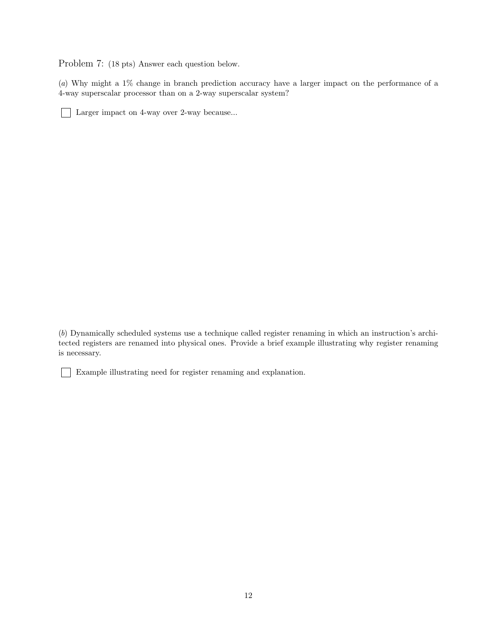Problem 7: (18 pts) Answer each question below.

(*a*) Why might a 1% change in branch prediction accuracy have a larger impact on the performance of a 4-way superscalar processor than on a 2-way superscalar system?

Larger impact on 4-way over 2-way because...

(*b*) Dynamically scheduled systems use a technique called register renaming in which an instruction's architected registers are renamed into physical ones. Provide a brief example illustrating why register renaming is necessary.

Example illustrating need for register renaming and explanation.